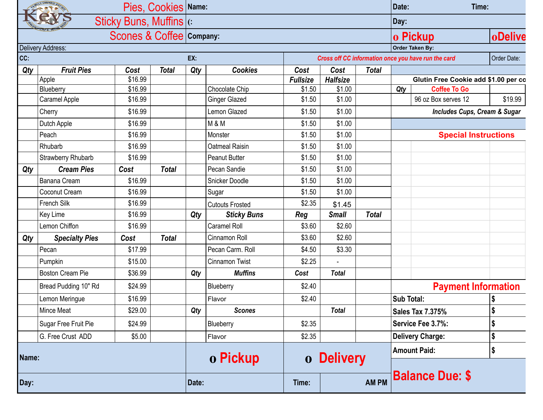| Pies, Cookies   Name:                                |                         |         |              |                 |                        |                                                     |                   | Date:<br>Time: |                                      |                                            |             |  |
|------------------------------------------------------|-------------------------|---------|--------------|-----------------|------------------------|-----------------------------------------------------|-------------------|----------------|--------------------------------------|--------------------------------------------|-------------|--|
| Sticky Buns, Muffins (c)<br>Scones & Coffee Company: |                         |         |              |                 |                        |                                                     |                   |                |                                      | Day:                                       |             |  |
|                                                      |                         |         |              |                 |                        |                                                     |                   |                |                                      | oDelive<br>o Pickup                        |             |  |
|                                                      | Delivery Address:       |         |              | Order Taken By: |                        |                                                     |                   |                |                                      |                                            |             |  |
| CC:                                                  |                         |         |              |                 |                        | Cross off CC information once you have run the card |                   |                |                                      |                                            | Order Date: |  |
| Qty                                                  | <b>Fruit Pies</b>       | Cost    | <b>Total</b> | Qty             | <b>Cookies</b>         | Cost                                                | Cost              | <b>Total</b>   | Glutin Free Cookie add \$1.00 per co |                                            |             |  |
|                                                      | Apple                   | \$16.99 |              |                 |                        | <b>Fullsize</b>                                     | <b>Halfsize</b>   |                |                                      |                                            |             |  |
|                                                      | Blueberry               | \$16.99 |              |                 | Chocolate Chip         | \$1.50                                              | \$1.00            |                | Qty                                  | <b>Coffee To Go</b><br>96 oz Box serves 12 |             |  |
|                                                      | Caramel Apple           | \$16.99 |              |                 | <b>Ginger Glazed</b>   | \$1.50                                              | \$1.00            |                |                                      |                                            | \$19.99     |  |
|                                                      | Cherry                  | \$16.99 |              |                 | Lemon Glazed           | \$1.50                                              | \$1.00            |                |                                      | Includes Cups, Cream & Sugar               |             |  |
|                                                      | Dutch Apple             | \$16.99 |              |                 | <b>M &amp; M</b>       | \$1.50                                              | \$1.00            |                |                                      |                                            |             |  |
|                                                      | Peach                   | \$16.99 |              |                 | Monster                | \$1.50                                              | \$1.00            |                |                                      | <b>Special Instructions</b>                |             |  |
|                                                      | Rhubarb                 | \$16.99 |              |                 | Oatmeal Raisin         | \$1.50                                              | \$1.00            |                |                                      |                                            |             |  |
|                                                      | Strawberry Rhubarb      | \$16.99 |              |                 | <b>Peanut Butter</b>   | \$1.50                                              | \$1.00            |                |                                      |                                            |             |  |
| Qty                                                  | <b>Cream Pies</b>       | Cost    | <b>Total</b> |                 | Pecan Sandie           | \$1.50                                              | \$1.00            |                |                                      |                                            |             |  |
|                                                      | Banana Cream            | \$16.99 |              |                 | Snicker Doodle         | \$1.50                                              | \$1.00            |                |                                      |                                            |             |  |
|                                                      | Coconut Cream           | \$16.99 |              |                 | Sugar                  | \$1.50                                              | \$1.00            |                |                                      |                                            |             |  |
|                                                      | French Silk             | \$16.99 |              |                 | <b>Cutouts Frosted</b> | \$2.35                                              | \$1.45            |                |                                      |                                            |             |  |
|                                                      | Key Lime                | \$16.99 |              | Qty             | <b>Sticky Buns</b>     | Reg                                                 | <b>Small</b>      | <b>Total</b>   |                                      |                                            |             |  |
|                                                      | Lemon Chiffon           | \$16.99 |              |                 | <b>Caramel Roll</b>    | \$3.60                                              | \$2.60            |                |                                      |                                            |             |  |
| Qty                                                  | <b>Specialty Pies</b>   | Cost    | <b>Total</b> |                 | Cinnamon Roll          | \$3.60                                              | \$2.60            |                |                                      |                                            |             |  |
|                                                      | Pecan                   | \$17.99 |              |                 | Pecan Carm. Roll       | \$4.50                                              | \$3.30            |                |                                      |                                            |             |  |
|                                                      | Pumpkin                 | \$15.00 |              |                 | Cinnamon Twist         | \$2.25                                              |                   |                |                                      |                                            |             |  |
|                                                      | <b>Boston Cream Pie</b> | \$36.99 |              | Qty             | <b>Muffins</b>         | Cost                                                | <b>Total</b>      |                |                                      |                                            |             |  |
|                                                      | Bread Pudding 10" Rd    | \$24.99 |              |                 | Blueberry              | \$2.40                                              |                   |                | <b>Payment Information</b>           |                                            |             |  |
|                                                      | Lemon Meringue          | \$16.99 |              |                 | Flavor                 | \$2.40                                              |                   |                | Sub Total:<br>\$                     |                                            |             |  |
|                                                      | Mince Meat              | \$29.00 |              | Qty             | <b>Scones</b>          |                                                     | <b>Total</b>      |                |                                      | <b>Sales Tax 7.375%</b>                    | \$          |  |
|                                                      | Sugar Free Fruit Pie    | \$24.99 |              |                 | Blueberry              | \$2.35                                              |                   |                | Service Fee 3.7%:                    |                                            | \$          |  |
|                                                      | G. Free Crust ADD       | \$5.00  |              |                 | Flavor                 | \$2.35                                              |                   |                | \$<br><b>Delivery Charge:</b>        |                                            |             |  |
| Name:                                                |                         |         |              | o Pickup        |                        |                                                     | <b>o</b> Delivery |                | <b>Amount Paid:</b><br>\$            |                                            |             |  |
| Day:                                                 |                         |         |              | Date:           |                        | Time:                                               | <b>AM PM</b>      |                | <b>Balance Due: \$</b>               |                                            |             |  |